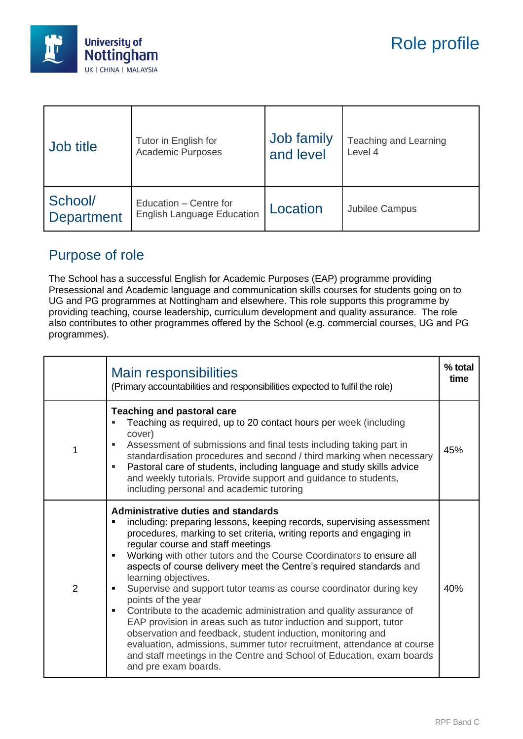

| Job title                    | Tutor in English for                                        | Job family | Teaching and Learning |
|------------------------------|-------------------------------------------------------------|------------|-----------------------|
|                              | <b>Academic Purposes</b>                                    | and level  | Level 4               |
| School/<br><b>Department</b> | Education - Centre for<br><b>English Language Education</b> | Location   | Jubilee Campus        |

## Purpose of role

The School has a successful English for Academic Purposes (EAP) programme providing Presessional and Academic language and communication skills courses for students going on to UG and PG programmes at Nottingham and elsewhere. This role supports this programme by providing teaching, course leadership, curriculum development and quality assurance. The role also contributes to other programmes offered by the School (e.g. commercial courses, UG and PG programmes).

|   | <b>Main responsibilities</b><br>(Primary accountabilities and responsibilities expected to fulfil the role)                                                                                                                                                                                                                                                                                                                                                                                                                                                                                                                                                                                                                                                                                                                                                                                  |     |
|---|----------------------------------------------------------------------------------------------------------------------------------------------------------------------------------------------------------------------------------------------------------------------------------------------------------------------------------------------------------------------------------------------------------------------------------------------------------------------------------------------------------------------------------------------------------------------------------------------------------------------------------------------------------------------------------------------------------------------------------------------------------------------------------------------------------------------------------------------------------------------------------------------|-----|
| 1 | <b>Teaching and pastoral care</b><br>Teaching as required, up to 20 contact hours per week (including<br>cover)<br>Assessment of submissions and final tests including taking part in<br>standardisation procedures and second / third marking when necessary<br>Pastoral care of students, including language and study skills advice<br>and weekly tutorials. Provide support and guidance to students,<br>including personal and academic tutoring                                                                                                                                                                                                                                                                                                                                                                                                                                        | 45% |
| 2 | <b>Administrative duties and standards</b><br>including: preparing lessons, keeping records, supervising assessment<br>procedures, marking to set criteria, writing reports and engaging in<br>regular course and staff meetings<br>Working with other tutors and the Course Coordinators to ensure all<br>aspects of course delivery meet the Centre's required standards and<br>learning objectives.<br>Supervise and support tutor teams as course coordinator during key<br>points of the year<br>Contribute to the academic administration and quality assurance of<br>٠<br>EAP provision in areas such as tutor induction and support, tutor<br>observation and feedback, student induction, monitoring and<br>evaluation, admissions, summer tutor recruitment, attendance at course<br>and staff meetings in the Centre and School of Education, exam boards<br>and pre exam boards. | 40% |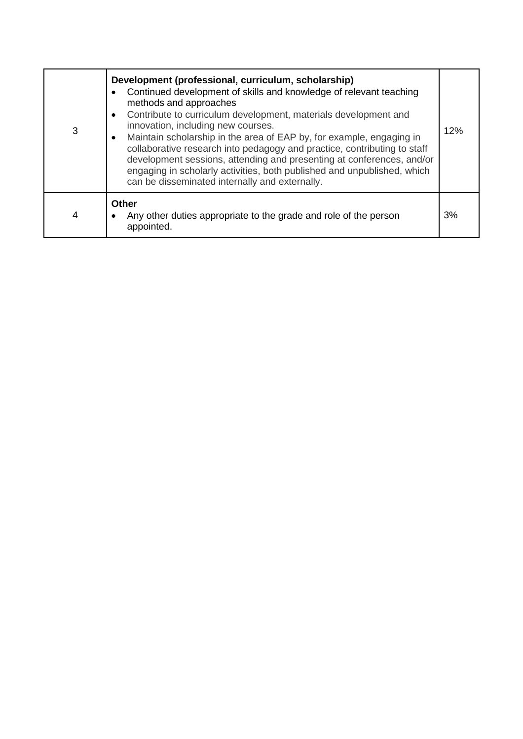| 3 | Development (professional, curriculum, scholarship)<br>Continued development of skills and knowledge of relevant teaching<br>methods and approaches<br>Contribute to curriculum development, materials development and<br>innovation, including new courses.<br>Maintain scholarship in the area of EAP by, for example, engaging in<br>$\bullet$<br>collaborative research into pedagogy and practice, contributing to staff<br>development sessions, attending and presenting at conferences, and/or<br>engaging in scholarly activities, both published and unpublished, which<br>can be disseminated internally and externally. | 12% |
|---|-------------------------------------------------------------------------------------------------------------------------------------------------------------------------------------------------------------------------------------------------------------------------------------------------------------------------------------------------------------------------------------------------------------------------------------------------------------------------------------------------------------------------------------------------------------------------------------------------------------------------------------|-----|
| 4 | Other<br>Any other duties appropriate to the grade and role of the person<br>appointed.                                                                                                                                                                                                                                                                                                                                                                                                                                                                                                                                             | 3%  |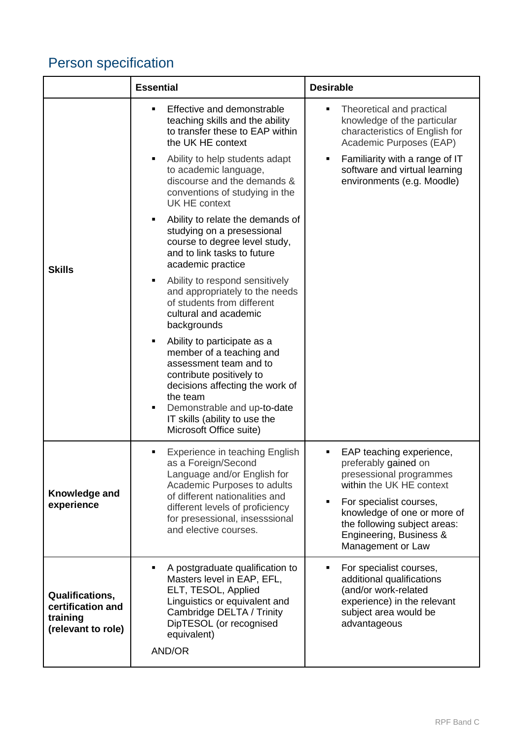## Person specification

|                                                                        | <b>Essential</b>                                                                                                                                                                                                                                        | <b>Desirable</b>                                                                                                                                                       |
|------------------------------------------------------------------------|---------------------------------------------------------------------------------------------------------------------------------------------------------------------------------------------------------------------------------------------------------|------------------------------------------------------------------------------------------------------------------------------------------------------------------------|
| <b>Skills</b>                                                          | Effective and demonstrable<br>$\blacksquare$<br>teaching skills and the ability<br>to transfer these to EAP within<br>the UK HE context                                                                                                                 | Theoretical and practical<br>٠<br>knowledge of the particular<br>characteristics of English for<br>Academic Purposes (EAP)                                             |
|                                                                        | Ability to help students adapt<br>٠<br>to academic language,<br>discourse and the demands &<br>conventions of studying in the<br><b>UK HE context</b>                                                                                                   | Familiarity with a range of IT<br>٠<br>software and virtual learning<br>environments (e.g. Moodle)                                                                     |
|                                                                        | Ability to relate the demands of<br>٠<br>studying on a presessional<br>course to degree level study,<br>and to link tasks to future<br>academic practice                                                                                                |                                                                                                                                                                        |
|                                                                        | Ability to respond sensitively<br>٠<br>and appropriately to the needs<br>of students from different<br>cultural and academic<br>backgrounds                                                                                                             |                                                                                                                                                                        |
|                                                                        | Ability to participate as a<br>member of a teaching and<br>assessment team and to<br>contribute positively to<br>decisions affecting the work of<br>the team<br>Demonstrable and up-to-date<br>IT skills (ability to use the<br>Microsoft Office suite) |                                                                                                                                                                        |
| Knowledge and<br>experience                                            | Experience in teaching English<br>as a Foreign/Second<br>Language and/or English for<br>Academic Purposes to adults                                                                                                                                     | EAP teaching experience,<br>٠<br>preferably gained on<br>presessional programmes<br>within the UK HE context                                                           |
|                                                                        | of different nationalities and<br>different levels of proficiency<br>for presessional, insesssional<br>and elective courses.                                                                                                                            | For specialist courses,<br>knowledge of one or more of<br>the following subject areas:<br>Engineering, Business &<br>Management or Law                                 |
| Qualifications,<br>certification and<br>training<br>(relevant to role) | A postgraduate qualification to<br>$\blacksquare$<br>Masters level in EAP, EFL,<br>ELT, TESOL, Applied<br>Linguistics or equivalent and<br>Cambridge DELTA / Trinity<br>DipTESOL (or recognised<br>equivalent)<br>AND/OR                                | For specialist courses,<br>$\blacksquare$<br>additional qualifications<br>(and/or work-related<br>experience) in the relevant<br>subject area would be<br>advantageous |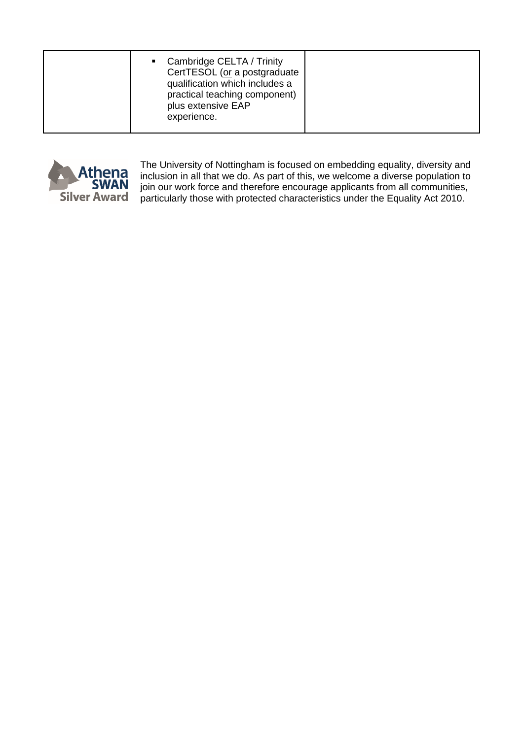| practical teaching component)<br>plus extensive EAP<br>experience. |
|--------------------------------------------------------------------|
|--------------------------------------------------------------------|



The University of Nottingham is focused on embedding equality, diversity and inclusion in all that we do. As part of this, we welcome a diverse population to join our work force and therefore encourage applicants from all communities, particularly those with protected characteristics under the Equality Act 2010.